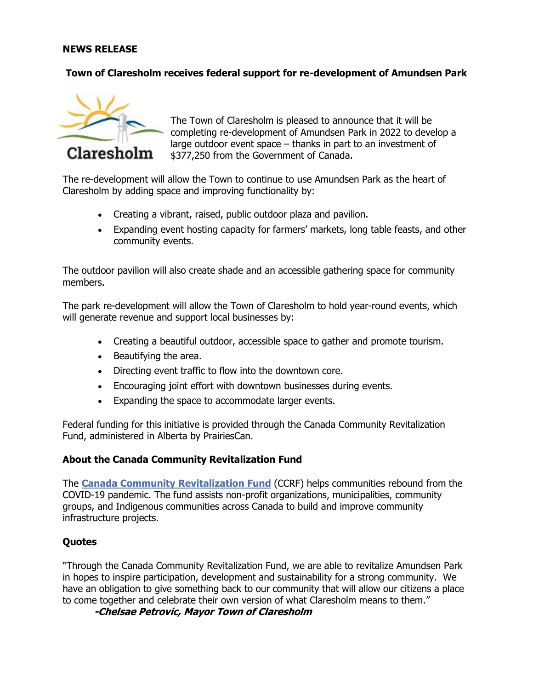#### **NEWS RELEASE**

### **Town of Claresholm receives federal support for re-development of Amundsen Park**



The Town of Claresholm is pleased to announce that it will be completing re-development of Amundsen Park in 2022 to develop a large outdoor event space – thanks in part to an investment of \$377,250 from the Government of Canada.

The re-development will allow the Town to continue to use Amundsen Park as the heart of Claresholm by adding space and improving functionality by:

- Creating a vibrant, raised, public outdoor plaza and pavilion.
- Expanding event hosting capacity for farmers' markets, long table feasts, and other community events.

The outdoor pavilion will also create shade and an accessible gathering space for community members.

The park re-development will allow the Town of Claresholm to hold year-round events, which will generate revenue and support local businesses by:

- Creating a beautiful outdoor, accessible space to gather and promote tourism.
- Beautifying the area.
- Directing event traffic to flow into the downtown core.
- Encouraging joint effort with downtown businesses during events.
- Expanding the space to accommodate larger events.

Federal funding for this initiative is provided through the Canada Community Revitalization Fund, administered in Alberta by PrairiesCan.

#### **About the Canada Community Revitalization Fund**

The **[Canada Community Revitalization Fund](https://www.ic.gc.ca/eic/site/icgc.nsf/eng/07732.html)** (CCRF) helps communities rebound from the COVID-19 pandemic. The fund assists non-profit organizations, municipalities, community groups, and Indigenous communities across Canada to build and improve community infrastructure projects.

### **Quotes**

"Through the Canada Community Revitalization Fund, we are able to revitalize Amundsen Park in hopes to inspire participation, development and sustainability for a strong community. We have an obligation to give something back to our community that will allow our citizens a place to come together and celebrate their own version of what Claresholm means to them."

**-Chelsae Petrovic, Mayor Town of Claresholm**